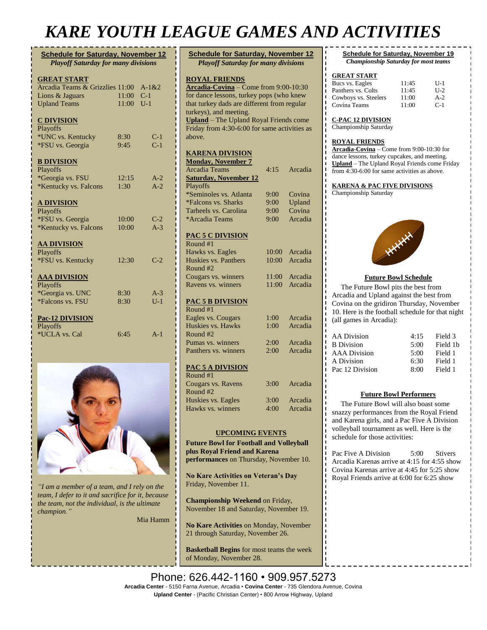## *KARE YOUTH LEAGUE GAMES AND ACTIVITIES*

| <b>Schedule for Saturday, November 12</b><br><b>Playoff Saturday for many divisions</b> |                |                    |  |  |
|-----------------------------------------------------------------------------------------|----------------|--------------------|--|--|
| <b>GREAT START</b><br>Arcadia Teams & Grizzlies 11:00<br>Lions & Jaguars                | 11:00          | $A-1 & 2$<br>$C-1$ |  |  |
| <b>Upland Teams</b><br><b>C DIVISION</b><br>Playoffs                                    | 11:00          | $U-1$              |  |  |
| *UNC vs. Kentucky<br>*FSU vs. Georgia                                                   | 8:30<br>9:45   | $C-1$<br>$C-1$     |  |  |
| <b>B DIVISION</b><br>Playoffs<br>*Georgia vs. FSU                                       | 12:15          | $A-2$              |  |  |
| *Kentucky vs. Falcons<br><b>A DIVISION</b><br>Playoffs                                  | 1:30           | $A-2$              |  |  |
| *FSU vs. Georgia<br>*Kentucky vs. Falcons                                               | 10:00<br>10:00 | $C-2$<br>$A-3$     |  |  |
| <b>AA DIVISION</b><br>Playoffs<br>*FSU vs. Kentucky                                     | 12:30          | $C-2$              |  |  |
| <b>AAA DIVISION</b><br>Playoffs                                                         |                |                    |  |  |
| *Georgia vs. UNC<br>*Falcons vs. FSU                                                    | 8:30<br>8:30   | $A-3$<br>$U-1$     |  |  |
| Pac-12 DIVISION<br><b>Playoffs</b><br>*UCLA vs. Cal                                     | 6:45           | $A-1$              |  |  |



*"I am a member of a team, and I rely on the team, I defer to it and sacrifice for it, because the team, not the individual, is the ultimate champion."*

Mia Hamm

| <b>Schedule for Saturday, November 12</b><br><b>Playoff Saturday for many divisions</b> |              |                    |  |  |  |
|-----------------------------------------------------------------------------------------|--------------|--------------------|--|--|--|
|                                                                                         |              |                    |  |  |  |
| <b>ROYAL FRIENDS</b><br>Arcadia-Covina – Come from 9:00-10:30                           |              |                    |  |  |  |
| for dance lessons, turkey pops (who knew                                                |              |                    |  |  |  |
| that turkey dads are different from regular                                             |              |                    |  |  |  |
| turkeys), and meeting.                                                                  |              |                    |  |  |  |
| Upland - The Upland Royal Friends come<br>Friday from 4:30-6:00 for same activities as  |              |                    |  |  |  |
| above.                                                                                  |              |                    |  |  |  |
|                                                                                         |              |                    |  |  |  |
| <b>KARENA DIVISION</b>                                                                  |              |                    |  |  |  |
| <b>Monday, November 7</b>                                                               |              |                    |  |  |  |
| Arcadia Teams                                                                           | 4:15         | Arcadia            |  |  |  |
| <b>Saturday, November 12</b>                                                            |              |                    |  |  |  |
| Playoffs                                                                                |              |                    |  |  |  |
| *Seminoles vs. Atlanta<br>*Falcons vs. Sharks                                           | 9:00<br>9:00 | Covina<br>Upland   |  |  |  |
| Tarheels vs. Carolina                                                                   | 9:00         | Covina             |  |  |  |
| *Arcadia Teams                                                                          | 9:00         | Arcadia            |  |  |  |
|                                                                                         |              |                    |  |  |  |
| <b>PAC 5 C DIVISION</b>                                                                 |              |                    |  |  |  |
| Round #1                                                                                |              |                    |  |  |  |
| Hawks vs. Eagles                                                                        | 10:00        | Arcadia            |  |  |  |
| Huskies vs. Panthers                                                                    | 10:00        | Arcadia            |  |  |  |
| Round #2<br>Cougars vs. winners                                                         | 11:00        | Arcadia            |  |  |  |
| Ravens vs. winners                                                                      | 11:00        | Arcadia            |  |  |  |
|                                                                                         |              |                    |  |  |  |
| <b>PAC 5 B DIVISION</b>                                                                 |              |                    |  |  |  |
| Round #1                                                                                |              |                    |  |  |  |
| Eagles vs. Cougars                                                                      | 1:00         | Arcadia            |  |  |  |
| Huskies vs. Hawks                                                                       | 1:00         | Arcadia            |  |  |  |
| Round #2                                                                                |              |                    |  |  |  |
| Pumas vs. winners<br>Panthers vs. winners                                               | 2:00<br>2:00 | Arcadia<br>Arcadia |  |  |  |
|                                                                                         |              |                    |  |  |  |
| <b>PAC 5 A DIVISION</b>                                                                 |              |                    |  |  |  |
| Round #1                                                                                |              |                    |  |  |  |
| Cougars vs. Ravens                                                                      | 3:00         | Arcadia            |  |  |  |
| Round #2                                                                                |              |                    |  |  |  |
| Huskies vs. Eagles                                                                      | 3:00         | Arcadia            |  |  |  |
| Hawks vs. winners                                                                       |              | 4:00 Arcadia       |  |  |  |
|                                                                                         |              |                    |  |  |  |
| <b>UPCOMING EVENTS</b>                                                                  |              |                    |  |  |  |
| <b>Future Bowl for Football and Volleyball</b>                                          |              |                    |  |  |  |
| plus Royal Friend and Karena                                                            |              |                    |  |  |  |
| performances on Thursday, November 10.                                                  |              |                    |  |  |  |
|                                                                                         |              |                    |  |  |  |
| No Kare Activities on Veteran's Day                                                     |              |                    |  |  |  |
| Friday, November 11.                                                                    |              |                    |  |  |  |
|                                                                                         |              |                    |  |  |  |
| Championship Weekend on Friday,                                                         |              |                    |  |  |  |
| November 18 and Saturday, November 19.                                                  |              |                    |  |  |  |
| No Kare Activities on Monday, November                                                  |              |                    |  |  |  |
| 21 through Saturday, November 26.                                                       |              |                    |  |  |  |
|                                                                                         |              |                    |  |  |  |
| <b>Basketball Begins</b> for most teams the week                                        |              |                    |  |  |  |
| of Monday, November 28.                                                                 |              |                    |  |  |  |

**Schedule for Saturday, November 19** *Championship Saturday for most teams*

### **GREAT START**

| Bucs vs. Eagles      | 11:45 | $U-1$ |
|----------------------|-------|-------|
| Panthers vs. Colts   | 11:45 | $U-2$ |
| Cowboys vs. Steelers | 11:00 | $A-2$ |
| Covina Teams         | 11:00 | $C-1$ |

**C-PAC 12 DIVISION**

Championship Saturday

### **ROYAL FRIENDS**

**Arcadia-Covina** – Come from 9:00-10:30 for dance lessons, turkey cupcakes, and meeting. **Upland** – The Upland Royal Friends come Friday from 4:30-6:00 for same activities as above.

### **KARENA & PAC FIVE DIVISIONS**

Championship Saturday



### **Future Bowl Schedule**

 The Future Bowl pits the best from Arcadia and Upland against the best from Covina on the gridiron Thursday, November 10. Here is the football schedule for that night (all games in Arcadia):

| <b>AA Division</b>  | 4:15 | Field 3  |
|---------------------|------|----------|
| <b>B</b> Division   | 5:00 | Field 1b |
| <b>AAA</b> Division | 5:00 | Field 1  |
| A Division          | 6:30 | Field 1  |
| Pac 12 Division     | 8.00 | Field 1  |

#### **Future Bowl Performers**

 The Future Bowl will also boast some snazzy performances from the Royal Friend and Karena girls, and a Pac Five A Division volleyball tournament as well. Here is the schedule for those activities:

Pac Five A Division 5:00 Stivers Arcadia Karenas arrive at 4:15 for 4:55 show Covina Karenas arrive at 4:45 for 5:25 show Royal Friends arrive at 6:00 for 6:25 show